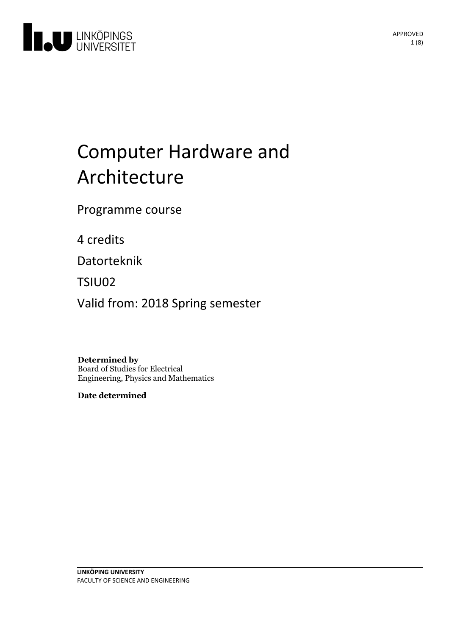

# Computer Hardware and Architecture

Programme course

4 credits

Datorteknik

TSIU02

Valid from: 2018 Spring semester

**Determined by** Board of Studies for Electrical Engineering, Physics and Mathematics

**Date determined**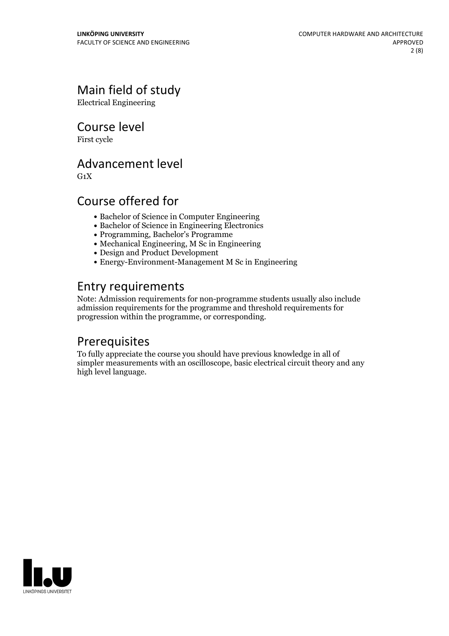# Main field of study

Electrical Engineering

Course level

First cycle

### Advancement level

 $G_1X$ 

# Course offered for

- Bachelor of Science in Computer Engineering
- Bachelor of Science in Engineering Electronics
- Programming, Bachelor's Programme
- Mechanical Engineering, M Sc in Engineering
- Design and Product Development
- $\bullet$  Energy-Environment-Management M Sc in Engineering

# Entry requirements

Note: Admission requirements for non-programme students usually also include admission requirements for the programme and threshold requirements for progression within the programme, or corresponding.

# Prerequisites

To fully appreciate the course you should have previous knowledge in all of simpler measurements with an oscilloscope, basic electrical circuit theory and any high level language.

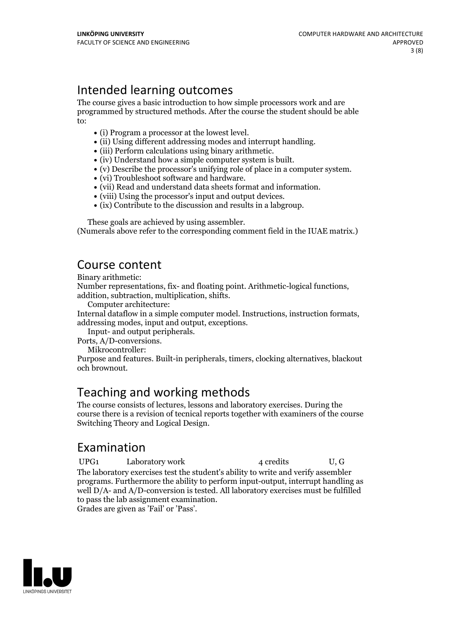# Intended learning outcomes

The course gives a basic introduction to how simple processors work and are programmed by structured methods. After the course the student should be able to:

- 
- 
- 
- 
- (i) Program a processor at the lowest level.<br>
(ii) Using different addressing modes and interrupt handling.<br>
(iii) Perform calculations using binary arithmetic.<br>
(iv) Understand how a simple computer system is built.<br>
(v)
- 
- 
- 
- 

These goals are achieved by using assembler. (Numerals above refer to the corresponding comment field in the IUAE matrix.)

### Course content

Binary arithmetic:

Number representations, fix- and floating point. Arithmetic-logical functions, addition, subtraction, multiplication, shifts. Computer architecture:

Internal dataflow in <sup>a</sup> simple computer model. Instructions, instruction formats, addressing modes, input and output, exceptions. Input- and output peripherals. Ports, A/D-conversions. Mikrocontroller:

Purpose and features. Built-in peripherals, timers, clocking alternatives, blackout och brownout.

# Teaching and working methods

The course consists of lectures, lessons and laboratory exercises. During the course there is a revision of tecnical reports together with examiners of the course Switching Theory and Logical Design.

# Examination

UPG1 Laboratory work 4 credits U, G The laboratory exercises test the student's ability to write and verify assembler programs. Furthermore the ability to perform input-output, interrupt handling as well D/A- and A/D-conversion is tested. All laboratory exercises must be fulfilled to pass the lab assignment examination. Grades are given as'Fail' or 'Pass'.

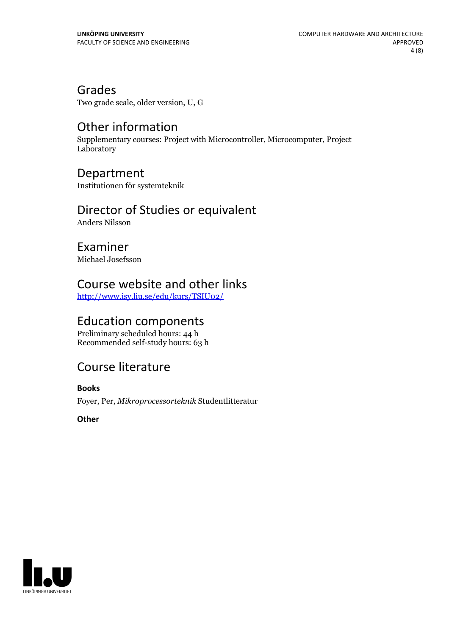Grades

Two grade scale, older version, U, G

# Other information

Supplementary courses: Project with Microcontroller, Microcomputer, Project Laboratory

### Department

Institutionen för systemteknik

### Director of Studies or equivalent

Anders Nilsson

Examiner Michael Josefsson

# Course website and other links

<http://www.isy.liu.se/edu/kurs/TSIU02/>

### Education components

Preliminary scheduled hours: 44 h Recommended self-study hours: 63 h

# Course literature

**Books**

Foyer, Per, *Mikroprocessorteknik* Studentlitteratur

**Other**

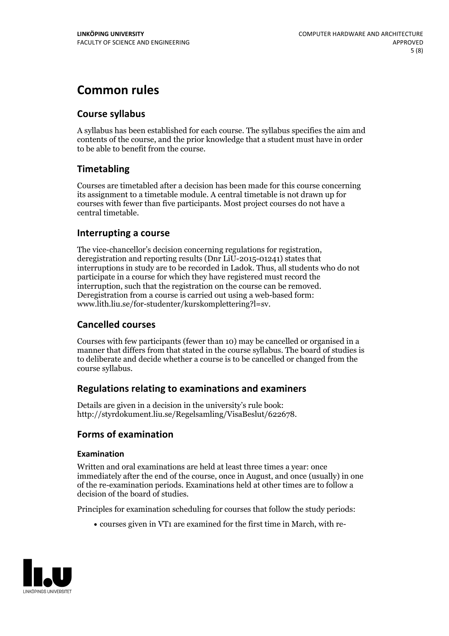# **Common rules**

### **Course syllabus**

A syllabus has been established for each course. The syllabus specifies the aim and contents of the course, and the prior knowledge that a student must have in order to be able to benefit from the course.

### **Timetabling**

Courses are timetabled after a decision has been made for this course concerning its assignment to a timetable module. A central timetable is not drawn up for courses with fewer than five participants. Most project courses do not have a central timetable.

### **Interrupting a course**

The vice-chancellor's decision concerning regulations for registration, deregistration and reporting results (Dnr LiU-2015-01241) states that interruptions in study are to be recorded in Ladok. Thus, all students who do not participate in a course for which they have registered must record the interruption, such that the registration on the course can be removed. Deregistration from <sup>a</sup> course is carried outusing <sup>a</sup> web-based form: www.lith.liu.se/for-studenter/kurskomplettering?l=sv.

### **Cancelled courses**

Courses with few participants (fewer than 10) may be cancelled or organised in a manner that differs from that stated in the course syllabus. The board of studies is to deliberate and decide whether a course is to be cancelled orchanged from the course syllabus.

### **Regulations relatingto examinations and examiners**

Details are given in a decision in the university's rule book: http://styrdokument.liu.se/Regelsamling/VisaBeslut/622678.

### **Forms of examination**

### **Examination**

Written and oral examinations are held at least three times a year: once immediately after the end of the course, once in August, and once (usually) in one of the re-examination periods. Examinations held at other times are to follow a decision of the board of studies.

Principles for examination scheduling for courses that follow the study periods:

courses given in VT1 are examined for the first time in March, with re-

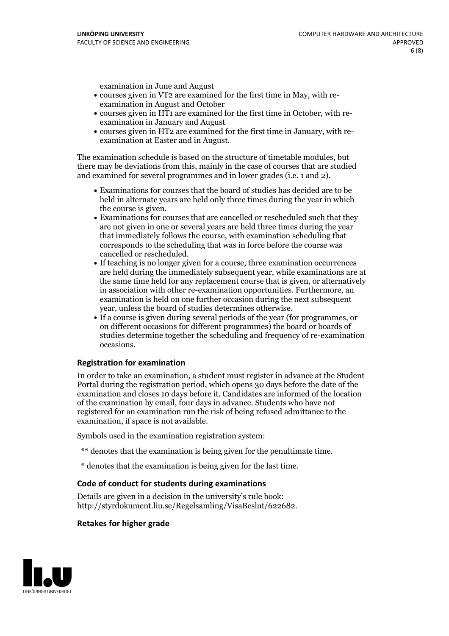examination in June and August

- courses given in VT2 are examined for the first time in May, with re-examination in August and October
- courses given in HT1 are examined for the first time in October, with re-examination in January and August
- courses given in HT2 are examined for the first time in January, with re-examination at Easter and in August.

The examination schedule is based on the structure of timetable modules, but there may be deviations from this, mainly in the case of courses that are studied and examined for several programmes and in lower grades (i.e. 1 and 2).

- Examinations for courses that the board of studies has decided are to be held in alternate years are held only three times during the year in which
- the course is given.<br>• Examinations for courses that are cancelled or rescheduled such that they are not given in one or several years are held three times during the year that immediately follows the course, with examination scheduling that corresponds to the scheduling that was in force before the course was cancelled or rescheduled.<br>• If teaching is no longer given for a course, three examination occurrences
- are held during the immediately subsequent year, while examinations are at the same time held for any replacement course that is given, or alternatively in association with other re-examination opportunities. Furthermore, an examination is held on one further occasion during the next subsequent year, unless the board of studies determines otherwise.<br>• If a course is given during several periods of the year (for programmes, or
- on different occasions for different programmes) the board orboards of studies determine together the scheduling and frequency of re-examination occasions.

#### **Registration for examination**

In order to take an examination, a student must register in advance at the Student Portal during the registration period, which opens 30 days before the date of the examination and closes 10 days before it. Candidates are informed of the location of the examination by email, four days in advance. Students who have not registered for an examination run the risk of being refused admittance to the examination, if space is not available.

Symbols used in the examination registration system:

- \*\* denotes that the examination is being given for the penultimate time.
- \* denotes that the examination is being given for the last time.

#### **Code of conduct for students during examinations**

Details are given in a decision in the university's rule book: http://styrdokument.liu.se/Regelsamling/VisaBeslut/622682.

#### **Retakes for higher grade**

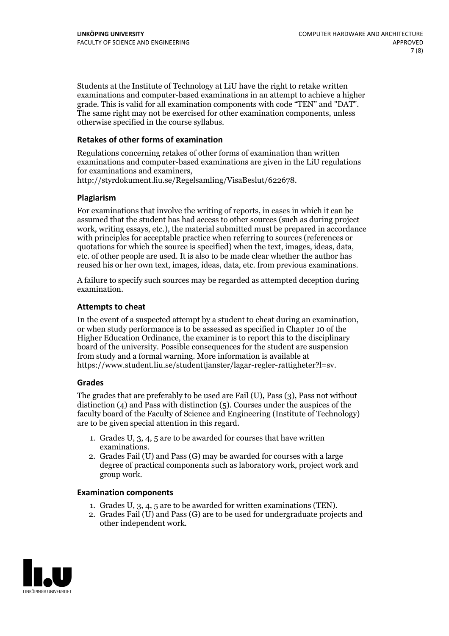Students at the Institute of Technology at LiU have the right to retake written examinations and computer-based examinations in an attempt to achieve a higher grade. This is valid for all examination components with code "TEN" and "DAT". The same right may not be exercised for other examination components, unless otherwise specified in the course syllabus.

### **Retakes of other forms of examination**

Regulations concerning retakes of other forms of examination than written examinations and computer-based examinations are given in the LiU regulations for examinations and examiners, http://styrdokument.liu.se/Regelsamling/VisaBeslut/622678.

#### **Plagiarism**

For examinations that involve the writing of reports, in cases in which it can be assumed that the student has had access to other sources (such as during project work, writing essays, etc.), the material submitted must be prepared in accordance with principles for acceptable practice when referring to sources (references or quotations for which the source is specified) when the text, images, ideas, data, etc. of other people are used. It is also to be made clear whether the author has reused his or her own text, images, ideas, data, etc. from previous examinations.

A failure to specify such sources may be regarded as attempted deception during examination.

#### **Attempts to cheat**

In the event of <sup>a</sup> suspected attempt by <sup>a</sup> student to cheat during an examination, or when study performance is to be assessed as specified in Chapter <sup>10</sup> of the Higher Education Ordinance, the examiner is to report this to the disciplinary board of the university. Possible consequences for the student are suspension from study and a formal warning. More information is available at https://www.student.liu.se/studenttjanster/lagar-regler-rattigheter?l=sv.

#### **Grades**

The grades that are preferably to be used are Fail (U), Pass (3), Pass not without distinction  $(4)$  and Pass with distinction  $(5)$ . Courses under the auspices of the faculty board of the Faculty of Science and Engineering (Institute of Technology) are to be given special attention in this regard.

- 1. Grades U, 3, 4, 5 are to be awarded for courses that have written
- examinations. 2. Grades Fail (U) and Pass (G) may be awarded for courses with <sup>a</sup> large degree of practical components such as laboratory work, project work and group work.

#### **Examination components**

- 
- 1. Grades U, 3, 4, <sup>5</sup> are to be awarded for written examinations (TEN). 2. Grades Fail (U) and Pass (G) are to be used for undergraduate projects and other independent work.